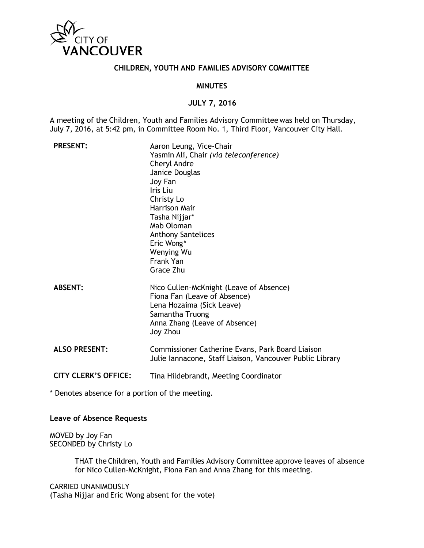

### **CHILDREN, YOUTH AND FAMILIES ADVISORY COMMITTEE**

### **MINUTES**

## **JULY 7, 2016**

A meeting of the Children, Youth and Families Advisory Committeewas held on Thursday, July 7, 2016, at 5:42 pm, in Committee Room No. 1, Third Floor, Vancouver City Hall.

| <b>PRESENT:</b>             | Aaron Leung, Vice-Chair<br>Yasmin Ali, Chair (via teleconference)<br>Cheryl Andre<br>Janice Douglas<br>Joy Fan<br>Iris Liu<br>Christy Lo<br><b>Harrison Mair</b><br>Tasha Nijjar*<br>Mab Oloman<br><b>Anthony Santelices</b><br>Eric Wong*<br>Wenying Wu<br>Frank Yan<br>Grace Zhu |
|-----------------------------|------------------------------------------------------------------------------------------------------------------------------------------------------------------------------------------------------------------------------------------------------------------------------------|
| <b>ABSENT:</b>              | Nico Cullen-McKnight (Leave of Absence)<br>Fiona Fan (Leave of Absence)<br>Lena Hozaima (Sick Leave)<br>Samantha Truong<br>Anna Zhang (Leave of Absence)<br>Joy Zhou                                                                                                               |
| <b>ALSO PRESENT:</b>        | Commissioner Catherine Evans, Park Board Liaison<br>Julie Iannacone, Staff Liaison, Vancouver Public Library                                                                                                                                                                       |
| <b>CITY CLERK'S OFFICE:</b> | Tina Hildebrandt, Meeting Coordinator                                                                                                                                                                                                                                              |

\* Denotes absence for a portion of the meeting.

#### **Leave of Absence Requests**

MOVED by Joy Fan SECONDED by Christy Lo

> THAT the Children, Youth and Families Advisory Committee approve leaves of absence for Nico Cullen-McKnight, Fiona Fan and Anna Zhang for this meeting.

CARRIED UNANIMOUSLY (Tasha Nijjar and Eric Wong absent for the vote)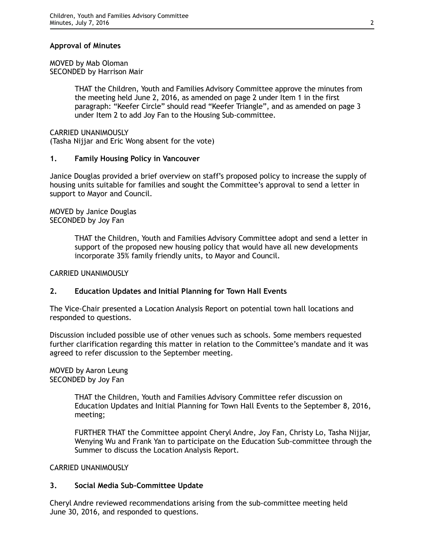# **Approval of Minutes**

#### MOVED by Mab Oloman SECONDED by Harrison Mair

THAT the Children, Youth and Families Advisory Committee approve the minutes from the meeting held June 2, 2016, as amended on page 2 under Item 1 in the first paragraph: "Keefer Circle" should read "Keefer Triangle", and as amended on page 3 under Item 2 to add Joy Fan to the Housing Sub-committee.

CARRIED UNANIMOUSLY (Tasha Nijjar and Eric Wong absent for the vote)

## **1. Family Housing Policy in Vancouver**

Janice Douglas provided a brief overview on staff's proposed policy to increase the supply of housing units suitable for families and sought the Committee's approval to send a letter in support to Mayor and Council.

MOVED by Janice Douglas SECONDED by Joy Fan

> THAT the Children, Youth and Families Advisory Committee adopt and send a letter in support of the proposed new housing policy that would have all new developments incorporate 35% family friendly units, to Mayor and Council.

### CARRIED UNANIMOUSLY

# **2. Education Updates and Initial Planning for Town Hall Events**

The Vice-Chair presented a Location Analysis Report on potential town hall locations and responded to questions.

Discussion included possible use of other venues such as schools. Some members requested further clarification regarding this matter in relation to the Committee's mandate and it was agreed to refer discussion to the September meeting.

MOVED by Aaron Leung SECONDED by Joy Fan

> THAT the Children, Youth and Families Advisory Committee refer discussion on Education Updates and Initial Planning for Town Hall Events to the September 8, 2016, meeting;

> FURTHER THAT the Committee appoint Cheryl Andre, Joy Fan, Christy Lo, Tasha Nijjar, Wenying Wu and Frank Yan to participate on the Education Sub-committee through the Summer to discuss the Location Analysis Report.

### CARRIED UNANIMOUSLY

### **3. Social Media Sub-Committee Update**

Cheryl Andre reviewed recommendations arising from the sub-committee meeting held June 30, 2016, and responded to questions.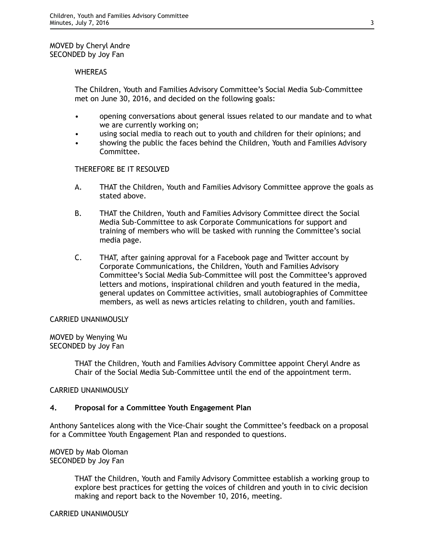## MOVED by Cheryl Andre SECONDED by Joy Fan

### **WHEREAS**

The Children, Youth and Families Advisory Committee's Social Media Sub-Committee met on June 30, 2016, and decided on the following goals:

- opening conversations about general issues related to our mandate and to what we are currently working on;
- using social media to reach out to youth and children for their opinions; and
- showing the public the faces behind the Children, Youth and Families Advisory Committee.

## THEREFORE BE IT RESOLVED

- A. THAT the Children, Youth and Families Advisory Committee approve the goals as stated above.
- B. THAT the Children, Youth and Families Advisory Committee direct the Social Media Sub-Committee to ask Corporate Communications for support and training of members who will be tasked with running the Committee's social media page.
- C. THAT, after gaining approval for a Facebook page and Twitter account by Corporate Communications, the Children, Youth and Families Advisory Committee's Social Media Sub-Committee will post the Committee's approved letters and motions, inspirational children and youth featured in the media, general updates on Committee activities, small autobiographies of Committee members, as well as news articles relating to children, youth and families.

### CARRIED UNANIMOUSLY

MOVED by Wenying Wu SECONDED by Joy Fan

> THAT the Children, Youth and Families Advisory Committee appoint Cheryl Andre as Chair of the Social Media Sub-Committee until the end of the appointment term.

### CARRIED UNANIMOUSLY

### **4. Proposal for a Committee Youth Engagement Plan**

Anthony Santelices along with the Vice-Chair sought the Committee's feedback on a proposal for a Committee Youth Engagement Plan and responded to questions.

#### MOVED by Mab Oloman SECONDED by Joy Fan

THAT the Children, Youth and Family Advisory Committee establish a working group to explore best practices for getting the voices of children and youth in to civic decision making and report back to the November 10, 2016, meeting.